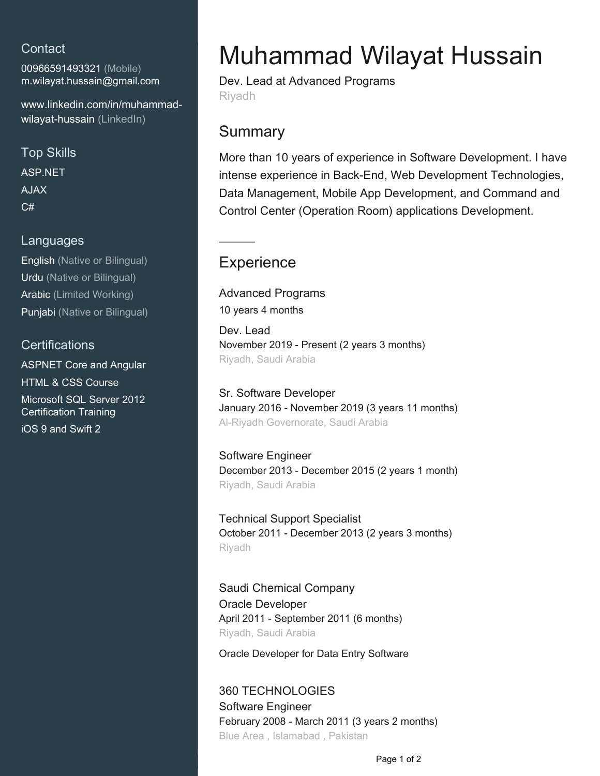### **Contact**

00966591493321 (Mobile) [m.wilayat.hussain@gmail.com](mailto:m.wilayat.hussain@gmail.com)

[www.linkedin.com/in/muhammad](https://www.linkedin.com/in/muhammad-wilayat-hussain?jobid=1234&lipi=urn%3Ali%3Apage%3Ad_jobs_easyapply_pdfgenresume%3BywkF3fczTXWI%2BDk4yRu3Rg%3D%3D&licu=urn%3Ali%3Acontrol%3Ad_jobs_easyapply_pdfgenresume-v02_profile)[wilayat-hussain \(LinkedIn\)](https://www.linkedin.com/in/muhammad-wilayat-hussain?jobid=1234&lipi=urn%3Ali%3Apage%3Ad_jobs_easyapply_pdfgenresume%3BywkF3fczTXWI%2BDk4yRu3Rg%3D%3D&licu=urn%3Ali%3Acontrol%3Ad_jobs_easyapply_pdfgenresume-v02_profile)

Top Skills ASP.NET AJAX  $C#$ 

#### Languages

English (Native or Bilingual) Urdu (Native or Bilingual) Arabic (Limited Working) Punjabi (Native or Bilingual)

### **Certifications**

ASPNET Core and Angular HTML & CSS Course Microsoft SQL Server 2012 Certification Training iOS 9 and Swift 2

# Muhammad Wilayat Hussain

Dev. Lead at Advanced Programs Riyadh

### **Summary**

More than 10 years of experience in Software Development. I have intense experience in Back-End, Web Development Technologies, Data Management, Mobile App Development, and Command and Control Center (Operation Room) applications Development.

## **Experience**

Advanced Programs 10 years 4 months

Dev. Lead November 2019 - Present (2 years 3 months) Riyadh, Saudi Arabia

Sr. Software Developer January 2016 - November 2019 (3 years 11 months) Al-Riyadh Governorate, Saudi Arabia

Software Engineer December 2013 - December 2015 (2 years 1 month) Riyadh, Saudi Arabia

Technical Support Specialist October 2011 - December 2013 (2 years 3 months) Riyadh

Saudi Chemical Company Oracle Developer April 2011 - September 2011 (6 months) Riyadh, Saudi Arabia

Oracle Developer for Data Entry Software

360 TECHNOLOGIES Software Engineer February 2008 - March 2011 (3 years 2 months) Blue Area , Islamabad , Pakistan